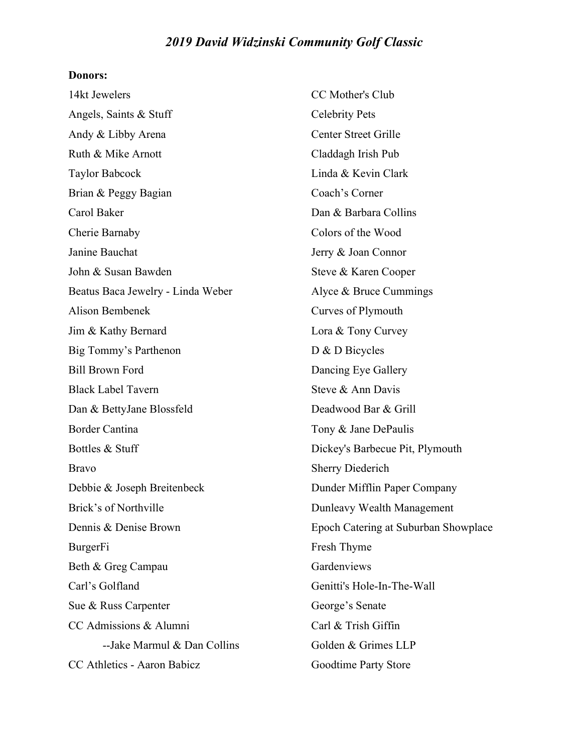# 2019 David Widzinski Community Golf Classic

### Donors:

| 14kt Jewelers                     | CC Mother's Club                     |
|-----------------------------------|--------------------------------------|
| Angels, Saints & Stuff            | <b>Celebrity Pets</b>                |
| Andy & Libby Arena                | <b>Center Street Grille</b>          |
| Ruth & Mike Arnott                | Claddagh Irish Pub                   |
| <b>Taylor Babcock</b>             | Linda & Kevin Clark                  |
| Brian & Peggy Bagian              | Coach's Corner                       |
| Carol Baker                       | Dan & Barbara Collins                |
| Cherie Barnaby                    | Colors of the Wood                   |
| Janine Bauchat                    | Jerry & Joan Connor                  |
| John & Susan Bawden               | Steve & Karen Cooper                 |
| Beatus Baca Jewelry - Linda Weber | Alyce & Bruce Cummings               |
| <b>Alison Bembenek</b>            | Curves of Plymouth                   |
| Jim & Kathy Bernard               | Lora & Tony Curvey                   |
| Big Tommy's Parthenon             | D & D Bicycles                       |
| <b>Bill Brown Ford</b>            | Dancing Eye Gallery                  |
| <b>Black Label Tavern</b>         | Steve & Ann Davis                    |
| Dan & BettyJane Blossfeld         | Deadwood Bar & Grill                 |
| <b>Border Cantina</b>             | Tony & Jane DePaulis                 |
| Bottles & Stuff                   | Dickey's Barbecue Pit, Plymouth      |
| <b>Bravo</b>                      | <b>Sherry Diederich</b>              |
| Debbie & Joseph Breitenbeck       | Dunder Mifflin Paper Company         |
| Brick's of Northville             | Dunleavy Wealth Management           |
| Dennis & Denise Brown             | Epoch Catering at Suburban Showplace |
| <b>BurgerFi</b>                   | Fresh Thyme                          |
| Beth & Greg Campau                | Gardenviews                          |
| Carl's Golfland                   | Genitti's Hole-In-The-Wall           |
| Sue & Russ Carpenter              | George's Senate                      |
| CC Admissions & Alumni            | Carl & Trish Giffin                  |
| --Jake Marmul & Dan Collins       | Golden & Grimes LLP                  |
| CC Athletics - Aaron Babicz       | Goodtime Party Store                 |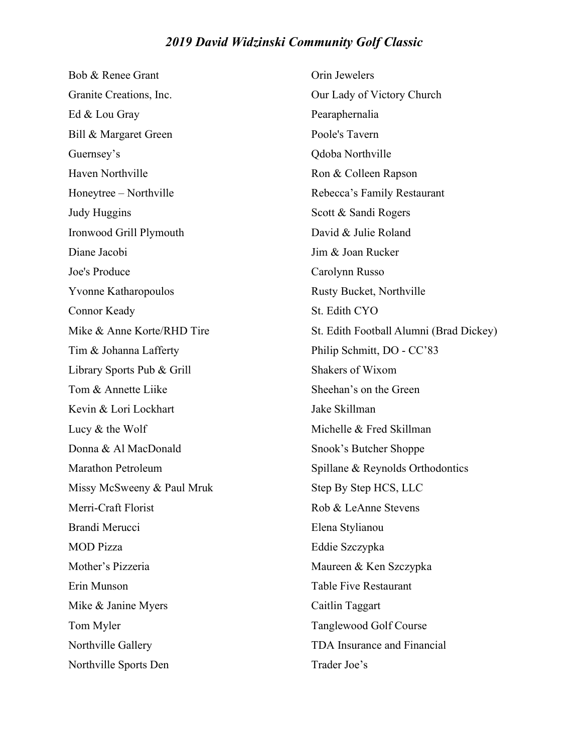#### 2019 David Widzinski Community Golf Classic

Bob & Renee Grant Granite Creations, Inc. Ed & Lou Gray Bill & Margaret Green Guernsey's Haven Northville Honeytree – Northville Judy Huggins Ironwood Grill Plymouth Diane Jacobi Joe's Produce Yvonne Katharopoulos Connor Keady Mike & Anne Korte/RHD Tire Tim & Johanna Lafferty Library Sports Pub & Grill Tom & Annette Liike Kevin & Lori Lockhart Lucy & the Wolf Donna & Al MacDonald Marathon Petroleum Missy McSweeny & Paul Mruk Merri-Craft Florist Brandi Merucci MOD Pizza Mother's Pizzeria Erin Munson Mike & Janine Myers Tom Myler Northville Gallery Northville Sports Den Orin Jewelers Our Lady of Victory Church Pearaphernalia Poole's Tavern Qdoba Northville Ron & Colleen Rapson Rebecca's Family Restaurant Scott & Sandi Rogers David & Julie Roland Jim & Joan Rucker Carolynn Russo Rusty Bucket, Northville St. Edith CYO St. Edith Football Alumni (Brad Dickey) Philip Schmitt, DO - CC'83 Shakers of Wixom Sheehan's on the Green Jake Skillman Michelle & Fred Skillman Snook's Butcher Shoppe Spillane & Reynolds Orthodontics Step By Step HCS, LLC Rob & LeAnne Stevens Elena Stylianou Eddie Szczypka Maureen & Ken Szczypka Table Five Restaurant Caitlin Taggart Tanglewood Golf Course TDA Insurance and Financial Trader Joe's